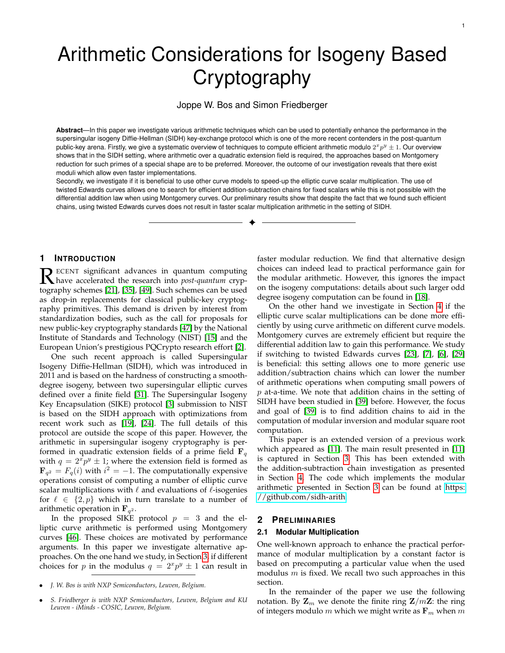# Arithmetic Considerations for Isogeny Based **Cryptography**

# Joppe W. Bos and Simon Friedberger

**Abstract**—In this paper we investigate various arithmetic techniques which can be used to potentially enhance the performance in the supersingular isogeny Diffie-Hellman (SIDH) key-exchange protocol which is one of the more recent contenders in the post-quantum public-key arena. Firstly, we give a systematic overview of techniques to compute efficient arithmetic modulo  $2^xp^y\pm 1.$  Our overview shows that in the SIDH setting, where arithmetic over a quadratic extension field is required, the approaches based on Montgomery reduction for such primes of a special shape are to be preferred. Moreover, the outcome of our investigation reveals that there exist moduli which allow even faster implementations.

Secondly, we investigate if it is beneficial to use other curve models to speed-up the elliptic curve scalar multiplication. The use of twisted Edwards curves allows one to search for efficient addition-subtraction chains for fixed scalars while this is not possible with the differential addition law when using Montgomery curves. Our preliminary results show that despite the fact that we found such efficient chains, using twisted Edwards curves does not result in faster scalar multiplication arithmetic in the setting of SIDH.

✦

# **1 INTRODUCTION**

**R** ECENT significant advances in quantum computing<br>have accelerated the research into *post-quantum* cryp-<br>tography schomes [211 [35] [40] Such schomes can be used ECENT significant advances in quantum computing tography schemes [\[21\]](#page-12-0), [\[35\]](#page-12-1), [\[49\]](#page-12-2). Such schemes can be used as drop-in replacements for classical public-key cryptography primitives. This demand is driven by interest from standardization bodies, such as the call for proposals for new public-key cryptography standards [\[47\]](#page-12-3) by the National Institute of Standards and Technology (NIST) [\[15\]](#page-12-4) and the European Union's prestigious PQCrypto research effort [\[2\]](#page-11-0).

One such recent approach is called Supersingular Isogeny Diffie-Hellman (SIDH), which was introduced in 2011 and is based on the hardness of constructing a smoothdegree isogeny, between two supersingular elliptic curves defined over a finite field [\[31\]](#page-12-5). The Supersingular Isogeny Key Encapsulation (SIKE) protocol [\[3\]](#page-11-1) submission to NIST is based on the SIDH approach with optimizations from recent work such as [\[19\]](#page-12-6), [\[24\]](#page-12-7). The full details of this protocol are outside the scope of this paper. However, the arithmetic in supersingular isogeny cryptography is performed in quadratic extension fields of a prime field  $\mathbf{F}_q$ with  $q = 2^x p^y \pm 1$ ; where the extension field is formed as  ${\bf F}_{q^2}=F_q(i)$  with  $i^2=-1$ . The computationally expensive operations consist of computing a number of elliptic curve scalar multiplications with  $\ell$  and evaluations of  $\ell$ -isogenies for  $\ell \in \{2, p\}$  which in turn translate to a number of arithmetic operation in  $\mathbf{F}_{q^2}$ .

In the proposed SIKE protocol  $p = 3$  and the elliptic curve arithmetic is performed using Montgomery curves [\[46\]](#page-12-8). These choices are motivated by performance arguments. In this paper we investigate alternative approaches. On the one hand we study, in Section [3,](#page-3-0) if different choices for p in the modulus  $q = 2^x p^y \pm 1$  can result in

faster modular reduction. We find that alternative design choices can indeed lead to practical performance gain for the modular arithmetic. However, this ignores the impact on the isogeny computations: details about such larger odd degree isogeny computation can be found in [\[18\]](#page-12-9).

On the other hand we investigate in Section [4](#page-8-0) if the elliptic curve scalar multiplications can be done more efficiently by using curve arithmetic on different curve models. Montgomery curves are extremely efficient but require the differential addition law to gain this performance. We study if switching to twisted Edwards curves [\[23\]](#page-12-10), [\[7\]](#page-11-2), [\[6\]](#page-11-3), [\[29\]](#page-12-11) is beneficial: this setting allows one to more generic use addition/subtraction chains which can lower the number of arithmetic operations when computing small powers of  $p$  at-a-time. We note that addition chains in the setting of SIDH have been studied in [\[39\]](#page-12-12) before. However, the focus and goal of [\[39\]](#page-12-12) is to find addition chains to aid in the computation of modular inversion and modular square root computation.

This paper is an extended version of a previous work which appeared as [\[11\]](#page-11-4). The main result presented in [\[11\]](#page-11-4) is captured in Section [3.](#page-3-0) This has been extended with the addition-subtraction chain investigation as presented in Section [4.](#page-8-0) The code which implements the modular arithmetic presented in Section [3](#page-3-0) can be found at [https:](https://github.com/sidh-arith) [//github.com/sidh-arith.](https://github.com/sidh-arith)

# **2 PRELIMINARIES**

## **2.1 Modular Multiplication**

One well-known approach to enhance the practical performance of modular multiplication by a constant factor is based on precomputing a particular value when the used modulus  $m$  is fixed. We recall two such approaches in this section.

In the remainder of the paper we use the following notation. By  $\mathbf{Z}_m$  we denote the finite ring  $\mathbf{Z}/m\mathbf{Z}$ : the ring of integers modulo  $m$  which we might write as  $\mathbf{F}_m$  when  $m$ 

<sup>•</sup> *J. W. Bos is with NXP Semiconductors, Leuven, Belgium.*

<sup>•</sup> *S. Friedberger is with NXP Semiconductors, Leuven, Belgium and KU Leuven - iMinds - COSIC, Leuven, Belgium.*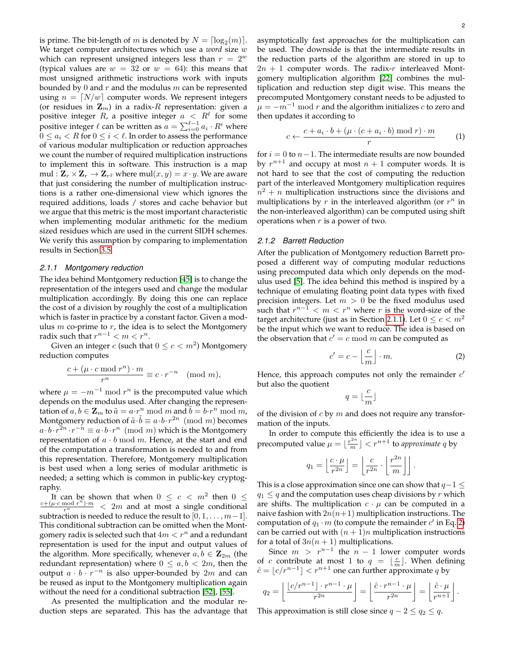is prime. The bit-length of  $m$  is denoted by  $N = \lceil \log_2(m) \rceil$ . We target computer architectures which use a *word* size w which can represent unsigned integers less than  $r = 2^w$ (typical values are  $w = 32$  or  $w = 64$ ): this means that most unsigned arithmetic instructions work with inputs bounded by 0 and  $r$  and the modulus  $m$  can be represented using  $n = \lfloor N/w \rfloor$  computer words. We represent integers (or residues in  $\mathbf{Z}_m$ ) in a radix-R representation: given a positive integer  $R$ , a positive integer  $a \ < \ R^\ell$  for some positive integer  $\ell$  can be written as  $\alpha = \sum_{i=0}^{\ell-1} a_i \cdot R^i$  where  $0 \leq a_i < R$  for  $0 \leq i < l$ . In order to assess the performance of various modular multiplication or reduction approaches we count the number of required multiplication instructions to implement this in software. This instruction is a map  $\textnormal{mul}: \mathbf{Z}_r \times \mathbf{Z}_r \to \mathbf{Z}_{r^2}$  where  $\textnormal{mul}(x,y) = x \cdot y.$  We are aware that just considering the number of multiplication instructions is a rather one-dimensional view which ignores the required additions, loads / stores and cache behavior but we argue that this metric is the most important characteristic when implementing modular arithmetic for the medium sized residues which are used in the current SIDH schemes. We verify this assumption by comparing to implementation results in Section [3.5.](#page-7-0)

#### <span id="page-1-0"></span>*2.1.1 Montgomery reduction*

The idea behind Montgomery reduction [\[45\]](#page-12-13) is to change the representation of the integers used and change the modular multiplication accordingly. By doing this one can replace the cost of a division by roughly the cost of a multiplication which is faster in practice by a constant factor. Given a modulus  $m$  co-prime to  $r$ , the idea is to select the Montgomery radix such that  $r^{n-1} < m < r^n$ .

Given an integer c (such that  $0 \leq c < m^2$ ) Montgomery reduction computes

$$
\frac{c + (\mu \cdot c \bmod r^n) \cdot m}{r^n} \equiv c \cdot r^{-n} \pmod{m},
$$

where  $\mu = -m^{-1} \mod r^n$  is the precomputed value which depends on the modulus used. After changing the representation of  $a, b \in \mathbf{Z}_m$  to  $\tilde{a} = a \cdot r^n \bmod m$  and  $\tilde{b} = b \cdot r^n \bmod m$ , Montgomery reduction of  $\tilde{a} \cdot \tilde{b} \equiv a \cdot b \cdot r^{2n} \pmod{m}$  becomes  $a \cdot b \cdot r^{\bar{2}n} \cdot r^{-n} \equiv a \cdot b \cdot r^n \pmod{m}$  which is the Montgomery representation of  $a \cdot b \mod m$ . Hence, at the start and end of the computation a transformation is needed to and from this representation. Therefore, Montgomery multiplication is best used when a long series of modular arithmetic is needed; a setting which is common in public-key cryptography.

It can be shown that when  $0 \leq c < m^2$  then  $0 \leq$ <br>  $\frac{c+(\mu \cdot c \mod r^n) \cdot m}{r^n} < 2m$  and at most a single conditional subtraction is needed to reduce the result to  $[0, 1, \ldots, m-1]$ . This conditional subtraction can be omitted when the Montgomery radix is selected such that  $4m < r^n$  and a redundant representation is used for the input and output values of the algorithm. More specifically, whenever  $a, b \in \mathbb{Z}_{2m}$  (the redundant representation) where  $0 \le a, b < 2m$ , then the output  $a \cdot b \cdot r^{-n}$  is also upper-bounded by 2m and can be reused as input to the Montgomery multiplication again without the need for a conditional subtraction [\[52\]](#page-12-14), [\[55\]](#page-12-15).

As presented the multiplication and the modular reduction steps are separated. This has the advantage that asymptotically fast approaches for the multiplication can be used. The downside is that the intermediate results in the reduction parts of the algorithm are stored in up to  $2n + 1$  computer words. The radix-r interleaved Montgomery multiplication algorithm [\[22\]](#page-12-16) combines the multiplication and reduction step digit wise. This means the precomputed Montgomery constant needs to be adjusted to  $\mu = -m^{-1}$  mod r and the algorithm initializes c to zero and then updates it according to

<span id="page-1-3"></span>
$$
c \leftarrow \frac{c + a_i \cdot b + (\mu \cdot (c + a_i \cdot b) \mod r) \cdot m}{r} \tag{1}
$$

for  $i = 0$  to  $n-1$ . The intermediate results are now bounded by  $r^{n+1}$  and occupy at most  $n+1$  computer words. It is not hard to see that the cost of computing the reduction part of the interleaved Montgomery multiplication requires  $\bar{n}^2 + n$  multiplication instructions since the divisions and multiplications by  $r$  in the interleaved algorithm (or  $r^n$  in the non-interleaved algorithm) can be computed using shift operations when  $r$  is a power of two.

#### <span id="page-1-2"></span>*2.1.2 Barrett Reduction*

After the publication of Montgomery reduction Barrett proposed a different way of computing modular reductions using precomputed data which only depends on the modulus used [\[5\]](#page-11-5). The idea behind this method is inspired by a technique of emulating floating point data types with fixed precision integers. Let  $m > 0$  be the fixed modulus used such that  $r^{n-1} < m < r^n$  where r is the word-size of the target architecture (just as in Section [2.1.1\)](#page-1-0). Let  $0 \leq c < m^2$ be the input which we want to reduce. The idea is based on the observation that  $c' = c \mod m$  can be computed as

<span id="page-1-1"></span>
$$
c' = c - \left\lfloor \frac{c}{m} \right\rfloor \cdot m. \tag{2}
$$

Hence, this approach computes not only the remainder  $c'$ but also the quotient

$$
q=\lfloor \frac{c}{m}\rfloor
$$

of the division of  $c$  by  $m$  and does not require any transformation of the inputs.

In order to compute this efficiently the idea is to use a precomputed value  $\mu = \lfloor \frac{r^{2n}}{m} \rfloor < r^{n+1}$  to *approximate* q by

$$
q_1 = \left\lfloor \frac{c \cdot \mu}{r^{2n}} \right\rfloor = \left\lfloor \frac{c}{r^{2n}} \cdot \left\lfloor \frac{r^{2n}}{m} \right\rfloor \right\rfloor.
$$

This is a close approximation since one can show that  $q-1 \leq$  $q_1 \leq q$  and the computation uses cheap divisions by r which are shifts. The multiplication  $c \cdot \mu$  can be computed in a naive fashion with  $2n(n+1)$  multiplication instructions. The computation of  $q_1 \cdot m$  (to compute the remainder  $c'$  in Eq. [2\)](#page-1-1) can be carried out with  $(n + 1)n$  multiplication instructions for a total of  $3n(n + 1)$  multiplications.

Since  $m > r^{n-1}$  the  $n-1$  lower computer words of c contribute at most 1 to  $q = \lfloor \frac{c}{m} \rfloor$ . When defining  $\hat{c} = \lfloor c/r^{n-1} \rfloor < r^{n+1}$  one can further approximate q by

$$
q_2 = \left\lfloor \frac{\lfloor c/r^{n-1} \rfloor \cdot r^{n-1} \cdot \mu}{r^{2n}} \right\rfloor = \left\lfloor \frac{\hat{c} \cdot r^{n-1} \cdot \mu}{r^{2n}} \right\rfloor = \left\lfloor \frac{\hat{c} \cdot \mu}{r^{n+1}} \right\rfloor.
$$

This approximation is still close since  $q - 2 \le q_2 \le q$ .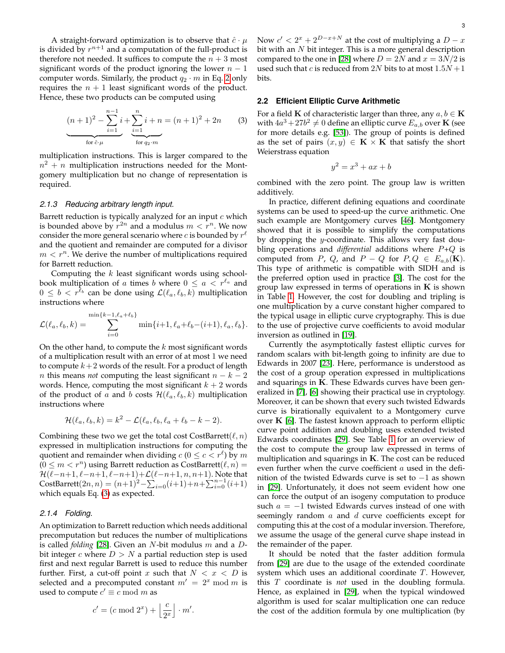A straight-forward optimization is to observe that  $\hat{c} \cdot \mu$ is divided by  $r^{n+1}$  and a computation of the full-product is therefore not needed. It suffices to compute the  $n + 3$  most significant words of the product ignoring the lower  $n - 1$ computer words. Similarly, the product  $q_2 \cdot m$  in Eq. [2](#page-1-1) only requires the  $n + 1$  least significant words of the product. Hence, these two products can be computed using

<span id="page-2-0"></span>
$$
(n+1)^2 - \sum_{i=1}^{n-1} i + \sum_{i=1}^{n} i + n = (n+1)^2 + 2n
$$
 (3)  
for  $\hat{c} \cdot \mu$  for  $q_2 \cdot m$ 

multiplication instructions. This is larger compared to the  $n^2 + n$  multiplication instructions needed for the Montgomery multiplication but no change of representation is required.

# *2.1.3 Reducing arbitrary length input.*

Barrett reduction is typically analyzed for an input  $c$  which is bounded above by  $r^{2n}$  and a modulus  $m < r^n$ . We now consider the more general scenario where c is bounded by  $r^{\ell}$ and the quotient and remainder are computed for a divisor  $m < r^n$ . We derive the number of multiplications required for Barrett reduction.

Computing the  $k$  least significant words using schoolbook multiplication of a times b where  $0 \le a < r^{\ell_a}$  and  $0 \leq b < r^{\ell_b}$  can be done using  $\mathcal{L}(\ell_a, \ell_b, k)$  multiplication instructions where

$$
\mathcal{L}(\ell_a, \ell_b, k) = \sum_{i=0}^{\min\{k-1, \ell_a + \ell_b\}} \min\{i+1, \ell_a + \ell_b - (i+1), \ell_a, \ell_b\}.
$$

On the other hand, to compute the  $k$  most significant words of a multiplication result with an error of at most 1 we need to compute  $k+2$  words of the result. For a product of length *n* this means *not* computing the least significant  $n - k - 2$ words. Hence, computing the most significant  $k + 2$  words of the product of a and b costs  $\mathcal{H}(\ell_a, \ell_b, k)$  multiplication instructions where

$$
\mathcal{H}(\ell_a, \ell_b, k) = k^2 - \mathcal{L}(\ell_a, \ell_b, \ell_a + \ell_b - k - 2).
$$

Combining these two we get the total cost CostBarrett( $\ell, n$ ) expressed in multiplication instructions for computing the quotient and remainder when dividing  $c$  ( $0 \leq c < r^{\ell}$ ) by  $m$  $(0 \le m < r^n)$  using Barrett reduction as CostBarrett $(\ell, n)$  =  $\mathcal{H}(\ell-n+1, \ell-n+1, \ell-n+1)+\mathcal{L}(\ell-n+1, n, n+1).$  Note that CostBarrett $(2n, n) = (n+1)^2 - \sum_{i=0}^{\infty} (i+1) + n + \sum_{i=0}^{n-1} (i+1)$ which equals Eq. [\(3\)](#page-2-0) as expected.

#### <span id="page-2-1"></span>*2.1.4 Folding.*

An optimization to Barrett reduction which needs additional precomputation but reduces the number of multiplications is called *folding* [\[28\]](#page-12-17). Given an N-bit modulus m and a Dbit integer c where  $D > N$  a partial reduction step is used first and next regular Barrett is used to reduce this number further. First, a cut-off point x such that  $N < x < D$  is selected and a precomputed constant  $m' = 2^x \mod m$  is used to compute  $c' \equiv c \bmod m$  as

$$
c' = (c \bmod 2^{x}) + \left\lfloor \frac{c}{2^{x}} \right\rfloor \cdot m'.
$$

Now  $c' < 2^x + 2^{D-x+N}$  at the cost of multiplying a  $D - x$ bit with an  $N$  bit integer. This is a more general description compared to the one in [\[28\]](#page-12-17) where  $D = 2N$  and  $x = 3N/2$  is used such that c is reduced from  $2N$  bits to at most  $1.5N + 1$ bits.

# <span id="page-2-2"></span>**2.2 Efficient Elliptic Curve Arithmetic**

For a field **K** of characteristic larger than three, any  $a, b \in \mathbf{K}$ with  $4a^3+27b^2\neq 0$  define an elliptic curve  $E_{a,b}$  over  ${\bf K}$  (see for more details e.g. [\[53\]](#page-12-18)). The group of points is defined as the set of pairs  $(x, y) \in \mathbf{K} \times \mathbf{K}$  that satisfy the short Weierstrass equation

$$
y^2 = x^3 + ax + b
$$

combined with the zero point. The group law is written additively.

In practice, different defining equations and coordinate systems can be used to speed-up the curve arithmetic. One such example are Montgomery curves [\[46\]](#page-12-8). Montgomery showed that it is possible to simplify the computations by dropping the y-coordinate. This allows very fast doubling operations and *differential* additions where P+Q is computed from P, Q, and  $P - Q$  for  $P, Q \in E_{a,b}(\mathbf{K})$ . This type of arithmetic is compatible with SIDH and is the preferred option used in practice [\[3\]](#page-11-1). The cost for the group law expressed in terms of operations in  $K$  is shown in Table [1.](#page-3-1) However, the cost for doubling and tripling is one multiplication by a curve constant higher compared to the typical usage in elliptic curve cryptography. This is due to the use of projective curve coefficients to avoid modular inversion as outlined in [\[19\]](#page-12-6).

Currently the asymptotically fastest elliptic curves for random scalars with bit-length going to infinity are due to Edwards in 2007 [\[23\]](#page-12-10). Here, performance is understood as the cost of a group operation expressed in multiplications and squarings in  $K$ . These Edwards curves have been generalized in [\[7\]](#page-11-2), [\[6\]](#page-11-3) showing their practical use in cryptology. Moreover, it can be shown that every such twisted Edwards curve is birationally equivalent to a Montgomery curve over  $K$  [\[6\]](#page-11-3). The fastest known approach to perform elliptic curve point addition and doubling uses extended twisted Edwards coordinates [\[29\]](#page-12-11). See Table [1](#page-3-1) for an overview of the cost to compute the group law expressed in terms of multiplication and squarings in  $K$ . The cost can be reduced even further when the curve coefficient a used in the definition of the twisted Edwards curve is set to −1 as shown in [\[29\]](#page-12-11). Unfortunately, it does not seem evident how one can force the output of an isogeny computation to produce such  $a = -1$  twisted Edwards curves instead of one with seemingly random  $a$  and  $d$  curve coefficients except for computing this at the cost of a modular inversion. Therefore, we assume the usage of the general curve shape instead in the remainder of the paper.

It should be noted that the faster addition formula from [\[29\]](#page-12-11) are due to the usage of the extended coordinate system which uses an additional coordinate T. However, this T coordinate is *not* used in the doubling formula. Hence, as explained in [\[29\]](#page-12-11), when the typical windowed algorithm is used for scalar multiplication one can reduce the cost of the addition formula by one multiplication (by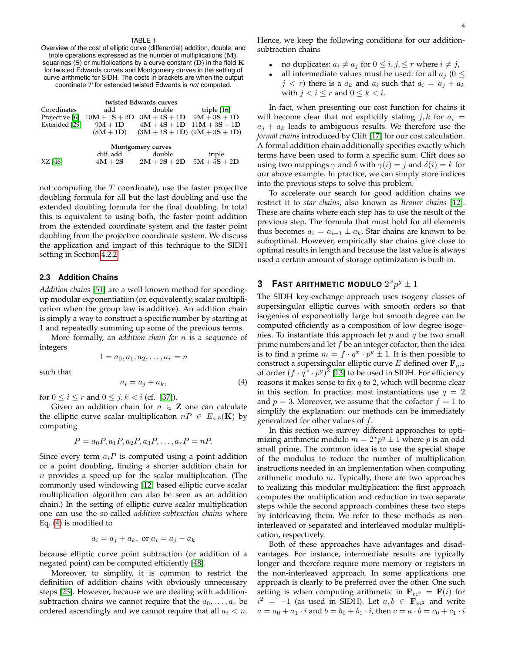#### TABLE 1

<span id="page-3-1"></span>Overview of the cost of elliptic curve (differential) addition, double, and triple operations expressed as the number of multiplications (M), squarings (S) or multiplications by a curve constant  $(D)$  in the field  $K$ for twisted Edwards curves and Montgomery curves in the setting of curve arithmetic for SIDH. The costs in brackets are when the output coordinate T for extended twisted Edwards is *not* computed.

#### **twisted Edwards curves**

| Coordinates       | add         | double                                                       | triple [16]                    |  |  |
|-------------------|-------------|--------------------------------------------------------------|--------------------------------|--|--|
|                   |             | Projective [6] $10M + 1S + 2D$ $3M + 4S + 1D$ $9M + 3S + 1D$ |                                |  |  |
| Extended [29]     | $9M + 1D$   |                                                              | $4M + 4S + 1D$ $11M + 3S + 1D$ |  |  |
|                   | $(8M + 1D)$ | $(3M + 4S + 1D)$ $(9M + 3S + 1D)$                            |                                |  |  |
| Montgomery curves |             |                                                              |                                |  |  |
|                   | diff. add   | double                                                       | triple                         |  |  |

not computing the  $T$  coordinate), use the faster projective doubling formula for all but the last doubling and use the

 $XZ [46]$  $XZ [46]$   $4M + 2S$   $2M + 2S + 2D$   $5M + 5S + 2D$ 

extended doubling formula for the final doubling. In total this is equivalent to using both, the faster point addition from the extended coordinate system and the faster point doubling from the projective coordinate system. We discuss the application and impact of this technique to the SIDH setting in Section [4.2.2.](#page-10-0)

# **2.3 Addition Chains**

*Addition chains* [\[51\]](#page-12-20) are a well known method for speedingup modular exponentiation (or, equivalently, scalar multiplication when the group law is additive). An addition chain is simply a way to construct a specific number by starting at 1 and repeatedly summing up some of the previous terms.

More formally, an *addition chain for* n is a sequence of integers

$$
1 = a_0, a_1, a_2, \dots, a_r = n
$$

such that

<span id="page-3-2"></span>
$$
a_i = a_j + a_k,\tag{4}
$$

for  $0 \le i \le r$  and  $0 \le j, k < i$  (cf. [\[37\]](#page-12-21)).

Given an addition chain for  $n \in \mathbb{Z}$  one can calculate the elliptic curve scalar multiplication  $nP \in E_{a,b}(\mathbf{K})$  by computing

$$
P = a_0 P, a_1 P, a_2 P, a_3 P, \dots, a_r P = nP.
$$

Since every term  $a_iP$  is computed using a point addition or a point doubling, finding a shorter addition chain for  $n$  provides a speed-up for the scalar multiplication. (The commonly used windowing [\[12\]](#page-12-22) based elliptic curve scalar multiplication algorithm can also be seen as an addition chain.) In the setting of elliptic curve scalar multiplication one can use the so-called *addition-subtraction chains* where Eq. [\(4\)](#page-3-2) is modified to

$$
a_i = a_j + a_k, \text{ or } a_i = a_j - a_k
$$

because elliptic curve point subtraction (or addition of a negated point) can be computed efficiently [\[48\]](#page-12-23).

Moreover, to simplify, it is common to restrict the definition of addition chains with obviously unnecessary steps [\[25\]](#page-12-24). However, because we are dealing with additionsubtraction chains we cannot require that the  $a_0, \ldots, a_r$  be ordered ascendingly and we cannot require that all  $a_i < n$ . Hence, we keep the following conditions for our additionsubtraction chains

- no duplicates:  $a_i \neq a_j$  for  $0 \leq i, j, \leq r$  where  $i \neq j$ ,
- all intermediate values must be used: for all  $a_i$  (0  $\le$  $j < r$ ) there is a  $a_k$  and  $a_i$  such that  $a_i = a_j + a_k$ with  $j < i \leq r$  and  $0 \leq k < i$ .

In fact, when presenting our cost function for chains it will become clear that not explicitly stating  $j, k$  for  $a_i =$  $a_j + a_k$  leads to ambiguous results. We therefore use the *formal chains* introduced by Clift [\[17\]](#page-12-25) for our cost calculation. A formal addition chain additionally specifies exactly which terms have been used to form a specific sum. Clift does so using two mappings  $\gamma$  and  $\delta$  with  $\gamma(i) = j$  and  $\delta(i) = k$  for our above example. In practice, we can simply store indices into the previous steps to solve this problem.

To accelerate our search for good addition chains we restrict it to *star chains*, also known as *Brauer chains* [\[12\]](#page-12-22). These are chains where each step has to use the result of the previous step. The formula that must hold for all elements thus becomes  $a_i = a_{i-1} \pm a_k$ . Star chains are known to be suboptimal. However, empirically star chains give close to optimal results in length and because the last value is always used a certain amount of storage optimization is built-in.

# <span id="page-3-0"></span>**3** FAST ARITHMETIC MODULO  $2^x p^y \pm 1$

The SIDH key-exchange approach uses isogeny classes of supersingular elliptic curves with smooth orders so that isogenies of exponentially large but smooth degree can be computed efficiently as a composition of low degree isogenies. To instantiate this approach let  $p$  and  $q$  be two small prime numbers and let  $f$  be an integer cofactor, then the idea is to find a prime  $m = f \cdot q^x \cdot p^y \pm 1$ . It is then possible to construct a supersingular elliptic curve E defined over  $\mathbf{F}_{m^2}$ of order  $(f \cdot q^x \cdot p^y)^2$  [\[13\]](#page-12-26) to be used in SIDH. For efficiency reasons it makes sense to fix  $q$  to 2, which will become clear in this section. In practice, most instantiations use  $q = 2$ and  $p = 3$ . Moreover, we assume that the cofactor  $f = 1$  to simplify the explanation: our methods can be immediately generalized for other values of  $f$ .

In this section we survey different approaches to optimizing arithmetic modulo  $m = 2<sup>x</sup>p<sup>y</sup> \pm 1$  where p is an odd small prime. The common idea is to use the special shape of the modulus to reduce the number of multiplication instructions needed in an implementation when computing arithmetic modulo  $m$ . Typically, there are two approaches to realizing this modular multiplication: the first approach computes the multiplication and reduction in two separate steps while the second approach combines these two steps by interleaving them. We refer to these methods as noninterleaved or separated and interleaved modular multiplication, respectively.

Both of these approaches have advantages and disadvantages. For instance, intermediate results are typically longer and therefore require more memory or registers in the non-interleaved approach. In some applications one approach is clearly to be preferred over the other. One such setting is when computing arithmetic in  $\mathbf{F}_{m^2} = \mathbf{F}(i)$  for  $i^2 = -1$  (as used in SIDH). Let  $a, b \in \mathbf{F}_{m^2}$  and write  $a = a_0 + a_1 \cdot i$  and  $b = b_0 + b_1 \cdot i$ , then  $c = a \cdot b = c_0 + c_1 \cdot i$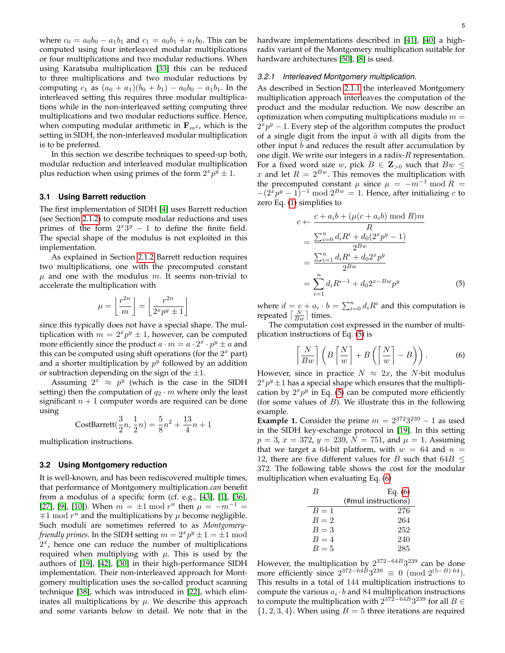where  $c_0 = a_0b_0 - a_1b_1$  and  $c_1 = a_0b_1 + a_1b_0$ . This can be computed using four interleaved modular multiplications or four multiplications and two modular reductions. When using Karatsuba multiplication [\[33\]](#page-12-27) this can be reduced to three multiplications and two modular reductions by computing  $c_1$  as  $(a_0 + a_1)(b_0 + b_1) - a_0b_0 - a_1b_1$ . In the interleaved setting this requires three modular multiplications while in the non-interleaved setting computing three multiplications and two modular reductions suffice. Hence, when computing modular arithmetic in  $\mathbf{F}_{m^2}$ , which is the setting in SIDH, the non-interleaved modular multiplication is to be preferred.

In this section we describe techniques to speed-up both, modular reduction and interleaved modular multiplication plus reduction when using primes of the form  $2^xp^{\bar{y}}\pm 1.$ 

# **3.1 Using Barrett reduction**

The first implementation of SIDH [\[4\]](#page-11-6) uses Barrett reduction (see Section [2.1.2\)](#page-1-2) to compute modular reductions and uses primes of the form  $2^{x}3^{y} - 1$  to define the finite field. The special shape of the modulus is not exploited in this implementation.

As explained in Section [2.1.2](#page-1-2) Barrett reduction requires two multiplications, one with the precomputed constant  $\mu$  and one with the modulus m. It seems non-trivial to accelerate the multiplication with

$$
\mu = \left\lfloor \frac{r^{2n}}{m} \right\rfloor = \left\lfloor \frac{r^{2n}}{2^x p^y \pm 1} \right\rfloor
$$

since this typically does not have a special shape. The multiplication with  $m = 2<sup>x</sup> p<sup>y</sup> \pm 1$ , however, can be computed more efficiently since the product  $a \cdot m = a \cdot 2^x \cdot p^y \pm a$  and this can be computed using shift operations (for the  $2<sup>x</sup>$  part) and a shorter multiplication by  $p^y$  followed by an addition or subtraction depending on the sign of the  $\pm 1$ .

Assuming  $2^x$   $\approx$   $p^y$  (which is the case in the SIDH setting) then the computation of  $q_2 \cdot m$  where only the least significant  $n + 1$  computer words are required can be done using

CostBarrett
$$
(\frac{3}{2}n, \frac{1}{2}n) = \frac{5}{8}n^2 + \frac{13}{4}n + 1
$$

multiplication instructions.

## <span id="page-4-2"></span>**3.2 Using Montgomery reduction**

It is well-known, and has been rediscovered multiple times, that performance of Montgomery multiplication *can* benefit from a modulus of a specific form (cf. e.g., [\[43\]](#page-12-28), [\[1\]](#page-11-7), [\[36\]](#page-12-29), [\[27\]](#page-12-30), [\[9\]](#page-11-8), [\[10\]](#page-11-9)). When  $m = \pm 1 \mod r^n$  then  $\mu = -m^{-1} =$  $\mp 1$  mod  $r^n$  and the multiplications by  $\mu$  become negligible. Such moduli are sometimes referred to as *Montgomeryfriendly primes*. In the SIDH setting  $m = 2^x p^y \pm 1 = \pm 1 \bmod 2$  $2<sup>x</sup>$ , hence one can reduce the number of multiplications required when multiplying with  $\mu$ . This is used by the authors of [\[19\]](#page-12-6), [\[42\]](#page-12-31), [\[30\]](#page-12-32) in their high-performance SIDH implementation. Their non-interleaved approach for Montgomery multiplication uses the so-called product scanning technique [\[38\]](#page-12-33), which was introduced in [\[22\]](#page-12-16), which eliminates all multiplications by  $\mu$ . We describe this approach and some variants below in detail. We note that in the hardware implementations described in [\[41\]](#page-12-34), [\[40\]](#page-12-35) a highradix variant of the Montgomery multiplication suitable for hardware architectures [\[50\]](#page-12-36), [\[8\]](#page-11-10) is used.

#### *3.2.1 Interleaved Montgomery multiplication.*

As described in Section [2.1.1](#page-1-0) the interleaved Montgomery multiplication approach interleaves the computation of the product and the modular reduction. We now describe an optimization when computing multiplications modulo  $m =$  $2^{\overline{x}}p^y - 1$ . Every step of the algorithm computes the product of a single digit from the input  $\tilde{a}$  with all digits from the other input  $b$  and reduces the result after accumulation by one digit. We write our integers in a radix- $R$  representation. For a fixed word size w, pick  $B \in \mathbb{Z}_{>0}$  such that  $Bw \leq$ x and let  $R = 2^{Bw}$ . This removes the multiplication with the precomputed constant  $\mu$  since  $\mu = -m^{-1} \bmod R =$  $-(2^{\bar{x}}p^y - 1)^{-1}$  mod  $2^{Bw} = 1$ . Hence, after initializing c to zero Eq. [\(1\)](#page-1-3) simplifies to

$$
c \leftarrow \frac{c + a_i b + (\mu(c + a_i b) \mod R)m}{R}
$$
  
= 
$$
\frac{\sum_{i=0}^{n} d_i R^i + d_0 (2^x p^y - 1)}{2^{Bw}}
$$
  
= 
$$
\frac{\sum_{i=1}^{n} d_i R^i + d_0 2^x p^y}{2^{Bw}}
$$
  
= 
$$
\sum_{i=1}^{n} d_i R^{i-1} + d_0 2^{x - Bw} p^y
$$
(5)

where  $d = c + a_i \cdot b = \sum_{i=0}^n d_i R^i$  and this computation is repeated  $\left\lceil \frac{N}{Bw} \right\rceil$  times.

The computation cost expressed in the number of multiplication instructions of Eq. [\(5\)](#page-4-0) is

<span id="page-4-1"></span><span id="page-4-0"></span>
$$
\left\lceil \frac{N}{Bw} \right\rceil \left( B \left\lceil \frac{N}{w} \right\rceil + B \left( \left\lceil \frac{N}{w} \right\rceil - B \right) \right). \tag{6}
$$

However, since in practice  $N \approx 2x$ , the N-bit modulus  $2^xp^y\pm 1$  has a special shape which ensures that the multiplication by  $2^x p^y$  in Eq. [\(5\)](#page-4-0) can be computed more efficiently (for some values of  $B$ ). We illustrate this in the following example.

**Example 1.** Consider the prime  $m = 2^{372}3^{239} - 1$  as used in the SIDH key-exchange protocol in [\[19\]](#page-12-6). In this setting  $p = 3$ ,  $x = 372$ ,  $y = 239$ ,  $N = 751$ , and  $\mu = 1$ . Assuming that we target a 64-bit platform, with  $w = 64$  and  $n =$ 12, there are five different values for B such that  $64B \leq$ 372. The following table shows the cost for the modular multiplication when evaluating Eq. [\(6\)](#page-4-1)

| В     | Eq. $(6)$           |
|-------|---------------------|
|       | (#mul instructions) |
| $B=1$ | 276                 |
| $B=2$ | 264                 |
| $B=3$ | 252                 |
| $B=4$ | 240                 |
| $B=5$ | 285                 |

However, the multiplication by  $2^{372-64B}3^{239}$  can be done more efficiently since  $2^{372-64B}3^{239} \equiv 0 \pmod{2^{(5-B)\cdot 64}}$ . This results in a total of 144 multiplication instructions to compute the various  $a_i \cdot b$  and 84 multiplication instructions to compute the multiplication with  $2^{37\bar{2}-64B}3^{239}$  for all  $B \in$  $\{1, 2, 3, 4\}$ . When using  $B = 5$  three iterations are required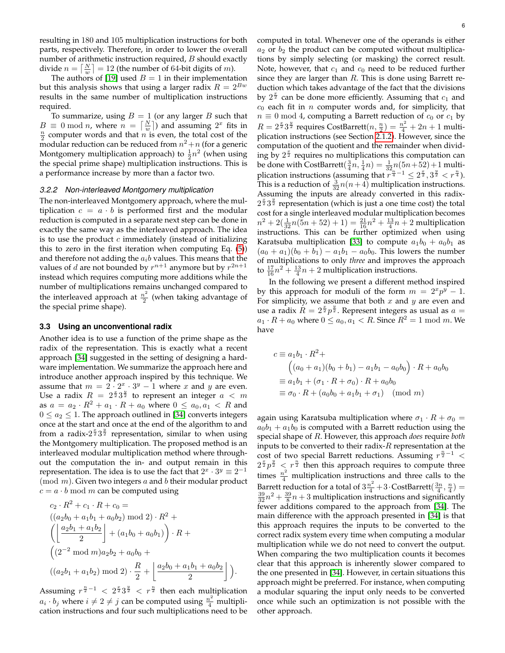resulting in 180 and 105 multiplication instructions for both parts, respectively. Therefore, in order to lower the overall number of arithmetic instruction required, B should exactly divide  $n = \lceil \frac{N}{w} \rceil = 12$  (the number of 64-bit digits of *m*).

The authors of [\[19\]](#page-12-6) used  $B = 1$  in their implementation but this analysis shows that using a larger radix  $R = 2^{Bw}$ results in the same number of multiplication instructions required.

To summarize, using  $B = 1$  (or any larger B such that  $B \equiv 0 \mod n$ , where  $n = \lceil \frac{N}{w} \rceil$  and assuming  $2^x$  fits in  $\frac{n}{2}$  computer words and that *n* is even, the total cost of the modular reduction can be reduced from  $n^2 + n$  (for a generic Montgomery multiplication approach) to  $\frac{1}{2}n^2$  (when using the special prime shape) multiplication instructions. This is a performance increase by more than a factor two.

# *3.2.2 Non-interleaved Montgomery multiplication*

The non-interleaved Montgomery approach, where the multiplication  $c = a \cdot b$  is performed first and the modular reduction is computed in a separate next step can be done in exactly the same way as the interleaved approach. The idea is to use the product  $c$  immediately (instead of initializing this to zero in the first iteration when computing Eq. [\(5\)](#page-4-0)) and therefore not adding the  $a_i b$  values. This means that the values of d are not bounded by  $r^{n+1}$  anymore but by  $r^{2n+1}$ instead which requires computing more additions while the number of multiplications remains unchanged compared to the interleaved approach at  $\frac{n^2}{2}$  $\frac{i}{2}$  (when taking advantage of the special prime shape).

## **3.3 Using an unconventional radix**

Another idea is to use a function of the prime shape as the radix of the representation. This is exactly what a recent approach [\[34\]](#page-12-37) suggested in the setting of designing a hardware implementation. We summarize the approach here and introduce another approach inspired by this technique. We assume that  $m = 2 \cdot 2^x \cdot 3^y - 1$  where x and y are even. Use a radix  $R = 2^{\frac{x}{2}} 3^{\frac{y}{2}}$  to represent an integer  $a < m$ as  $a = a_2 \cdot R^2 + a_1 \cdot R + a_0$  where  $0 \le a_0, a_1 < R$  and  $0 \le a_2 \le 1$ . The approach outlined in [\[34\]](#page-12-37) converts integers once at the start and once at the end of the algorithm to and from a radix- $2^{\frac{x}{2}}3^{\frac{y}{2}}$  representation, similar to when using the Montgomery multiplication. The proposed method is an interleaved modular multiplication method where throughout the computation the in- and output remain in this representation. The idea is to use the fact that  $2^x \cdot 3^y \equiv 2^{-1}$  $\pmod{m}$ . Given two integers a and b their modular product  $c = a \cdot b \mod m$  can be computed using

$$
c_2 \cdot R^2 + c_1 \cdot R + c_0 =
$$
  
\n
$$
((a_2b_0 + a_1b_1 + a_0b_2) \mod 2) \cdot R^2 +
$$
  
\n
$$
\left( \left\lfloor \frac{a_2b_1 + a_1b_2}{2} \right\rfloor + (a_1b_0 + a_0b_1) \right) \cdot R +
$$
  
\n
$$
\left( (2^{-2} \mod m)a_2b_2 + a_0b_0 +
$$
  
\n
$$
((a_2b_1 + a_1b_2) \mod 2) \cdot \frac{R}{2} + \left\lfloor \frac{a_2b_0 + a_1b_1 + a_0b_2}{2} \right\rfloor \right).
$$

Assuming  $r^{\frac{n}{2}-1} < 2^{\frac{x}{2}}3^{\frac{y}{2}} < r^{\frac{n}{2}}$  then each multiplication  $a_i \cdot b_j$  where  $i \neq 2 \neq j$  can be computed using  $\frac{n^2}{4}$  multiplication instructions and four such multiplications need to be computed in total. Whenever one of the operands is either  $a_2$  or  $b_2$  the product can be computed without multiplications by simply selecting (or masking) the correct result. Note, however, that  $c_1$  and  $c_0$  need to be reduced further since they are larger than  $R$ . This is done using Barrett reduction which takes advantage of the fact that the divisions by  $2^{\frac{x}{2}}$  can be done more efficiently. Assuming that  $c_1$  and  $c_0$  each fit in n computer words and, for simplicity, that  $n \equiv 0 \mod 4$ , computing a Barrett reduction of  $c_0$  or  $c_1$  by  $R = 2^{\frac{x}{2}} 3^{\frac{y}{2}}$  requires CostBarrett $(n, \frac{n}{2}) = \frac{n^2}{4} + 2n + 1$  multiplication instructions (see Section [2.1.2\)](#page-1-2). However, since the computation of the quotient and the remainder when dividing by  $2^{\frac{x}{2}}$  requires no multiplications this computation can be done with CostBarrett $(\frac{3}{4}n, \frac{1}{4}n) = \frac{1}{32}n(5n+52) + 1$  multiplication instructions (assuming that  $r^{\frac{3}{4}-1} \leq 2^{\frac{x}{2}}$ ,  $3^{\frac{y}{2}} < r^{\frac{n}{4}}$ ). This is a reduction of  $\frac{3}{32}n(n+4)$  multiplication instructions. Assuming the inputs are already converted in this radix- $2^{\frac{x}{2}}3^{\frac{y}{2}}$  representation (which is just a one time cost) the total cost for a single interleaved modular multiplication becomes  $n^2 + 2(\frac{1}{32}n(\overline{5}n + 52) + 1) = \frac{21}{16}n^2 + \frac{13}{4}n + 2$  multiplication instructions. This can be further optimized when using Karatsuba multiplication [\[33\]](#page-12-27) to compute  $a_1b_0 + a_0b_1$  as  $(a_0 + a_1)(b_0 + b_1) - a_1b_1 - a_0b_0$ . This lowers the number of multiplications to only *three* and improves the approach to  $\frac{17}{16}n^2 + \frac{13}{4}n + 2$  multiplication instructions.

In the following we present a different method inspired by this approach for moduli of the form  $m = 2<sup>x</sup>p<sup>y</sup> - 1$ . For simplicity, we assume that both  $x$  and  $y$  are even and use a radix  $R = 2^{\frac{x}{2}} p^{\frac{y}{2}}$ . Represent integers as usual as  $a =$  $a_1 \cdot R + a_0$  where  $0 \le a_0, a_1 < R$ . Since  $R^2 = 1 \mod m$ . We have

$$
c \equiv a_1 b_1 \cdot R^2 +
$$
  
\n
$$
\left( (a_0 + a_1)(b_0 + b_1) - a_1 b_1 - a_0 b_0 \right) \cdot R + a_0 b_0
$$
  
\n
$$
\equiv a_1 b_1 + (\sigma_1 \cdot R + \sigma_0) \cdot R + a_0 b_0
$$
  
\n
$$
\equiv \sigma_0 \cdot R + (a_0 b_0 + a_1 b_1 + \sigma_1) \pmod{m}
$$

again using Karatsuba multiplication where  $\sigma_1 \cdot R + \sigma_0 =$  $a_0b_1 + a_1b_0$  is computed with a Barrett reduction using the special shape of R. However, this approach *does* require *both* inputs to be converted to their radix- $R$  representation at the cost of two special Barrett reductions. Assuming  $r^{\frac{n}{2}-1}$  <  $2^{\frac{x}{2}}p^{\frac{y}{2}} < r^{\frac{n}{2}}$  then this approach requires to compute three times  $\frac{n^2}{4}$  multiplication instructions and three calls to the Barrett reduction for a total of  $3\frac{n^2}{4}+3\cdot$ CostBarrett $(\frac{3n}{4},\frac{n}{4})=$  $\frac{39}{32}n^2 + \frac{39}{8}n + 3$  multiplication instructions and significantly fewer additions compared to the approach from [\[34\]](#page-12-37). The main difference with the approach presented in [\[34\]](#page-12-37) is that this approach requires the inputs to be converted to the correct radix system every time when computing a modular multiplication while we do not need to convert the output. When comparing the two multiplication counts it becomes clear that this approach is inherently slower compared to the one presented in [\[34\]](#page-12-37). However, in certain situations this approach might be preferred. For instance, when computing a modular squaring the input only needs to be converted once while such an optimization is not possible with the other approach.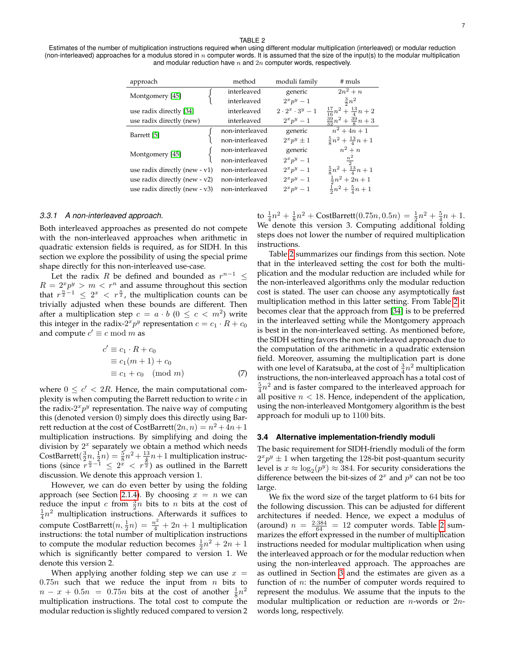## TABLE 2

<span id="page-6-0"></span>Estimates of the number of multiplication instructions required when using different modular multiplication (interleaved) or modular reduction (non-interleaved) approaches for a modulus stored in  $n$  computer words. It is assumed that the size of the input(s) to the modular multiplication and modular reduction have  $n$  and  $2n$  computer words, respectively.

| approach                         | method          | moduli family               | $#$ muls                               |
|----------------------------------|-----------------|-----------------------------|----------------------------------------|
| Montgomery [45]                  | interleaved     | generic                     | $2n^2 + n$                             |
|                                  | interleaved     | $2^x p^y - 1$               | $rac{3}{2}n^2$                         |
| use radix directly [34]          | interleaved     | $2 \cdot 2^x \cdot 3^y - 1$ | $\frac{17}{16}n^2 + \frac{13}{4}n + 2$ |
| use radix directly (new)         | interleaved     | $2^x p^y-1$                 | $\frac{39}{32}n^2 + \frac{39}{8}n + 3$ |
| Barrett [5]                      | non-interleaved | generic                     | $n^2 + 4n + 1$                         |
|                                  | non-interleaved | $2^x p^y \pm 1$             | $rac{5}{8}n^2 + \frac{13}{4}n + 1$     |
| Montgomery [45]                  | non-interleaved | generic                     | $n^2 + n$                              |
|                                  | non-interleaved | $2^x p^y - 1$               | $\frac{n^2}{2}$                        |
| use radix directly (new $- v1$ ) | non-interleaved | $2^x p^y - 1$               | $\frac{5}{8}n^2 + \frac{13}{4}n + 1$   |
| use radix directly (new $- v2$ ) | non-interleaved | $2^x p^y - 1$               | $\frac{1}{2}n^2 + 2n + 1$              |
| use radix directly (new - v3)    | non-interleaved | $2^x p^y - 1$               | $rac{1}{2}n^2 + \frac{5}{4}n + 1$      |

#### *3.3.1 A non-interleaved approach.*

Both interleaved approaches as presented do not compete with the non-interleaved approaches when arithmetic in quadratic extension fields is required, as for SIDH. In this section we explore the possibility of using the special prime shape directly for this non-interleaved use-case.

Let the radix R be defined and bounded as  $r^{n-1}$   $\leq$  $R = 2^x p^y > m < r^n$  and assume throughout this section that  $r^{\frac{n}{2}-1} \leq 2^x < r^{\frac{n}{2}}$ , the multiplication counts can be trivially adjusted when these bounds are different. Then after a multiplication step  $c = a \cdot b$   $(0 \leq c \leq m^2)$  write this integer in the radix- $2^x p^y$  representation  $c = c_1 \cdot R + c_0$ and compute  $c' \equiv c \bmod m$  as

$$
c' \equiv c_1 \cdot R + c_0
$$
  
\n
$$
\equiv c_1(m+1) + c_0
$$
  
\n
$$
\equiv c_1 + c_0 \pmod{m}
$$
 (7)

where  $0 \leq c' < 2R$ . Hence, the main computational complexity is when computing the Barrett reduction to write  $c$  in the radix- $2^{x}p^{y}$  representation. The naive way of computing this (denoted version 0) simply does this directly using Barrett reduction at the cost of  $\text{CostBarrier}(2n, n) = n^2 + 4n + 1$ multiplication instructions. By simplifying and doing the division by  $2<sup>x</sup>$  separately we obtain a method which needs CostBarrett $(\frac{3}{2}n, \frac{1}{2}n) = \frac{5}{8}n^2 + \frac{13}{4}n + 1$  multiplication instructions (since  $r^{\frac{n}{2}-1} \leq 2^{\frac{\alpha}{2}} < r^{\frac{\pi}{2}}$ ) as outlined in the Barrett discussion. We denote this approach version 1.

However, we can do even better by using the folding approach (see Section [2.1.4\)](#page-2-1). By choosing  $x = n$  we can reduce the input c from  $\frac{3}{2}n$  bits to n bits at the cost of  $\frac{1}{4}n^2$  multiplication instructions. Afterwards it suffices to compute CostBarrett $(n, \frac{1}{2}n) = \frac{n^2}{4} + 2n + 1$  multiplication instructions: the total number of multiplication instructions to compute the modular reduction becomes  $\frac{1}{2}n^2 + 2n + 1$ which is significantly better compared to version 1. We denote this version 2.

When applying another folding step we can use  $x =$  $0.75n$  such that we reduce the input from n bits to  $n - x + 0.5n = 0.75n$  bits at the cost of another  $\frac{1}{8}n^2$ multiplication instructions. The total cost to compute the modular reduction is slightly reduced compared to version 2 to  $\frac{1}{4}n^2 + \frac{1}{8}n^2$  + CostBarrett $(0.75n, 0.5n) = \frac{1}{2}n^2 + \frac{5}{4}n + 1$ . We denote this version 3. Computing additional folding steps does not lower the number of required multiplication instructions.

Table [2](#page-6-0) summarizes our findings from this section. Note that in the interleaved setting the cost for both the multiplication and the modular reduction are included while for the non-interleaved algorithms only the modular reduction cost is stated. The user can choose any asymptotically fast multiplication method in this latter setting. From Table [2](#page-6-0) it becomes clear that the approach from [\[34\]](#page-12-37) is to be preferred in the interleaved setting while the Montgomery approach is best in the non-interleaved setting. As mentioned before, the SIDH setting favors the non-interleaved approach due to the computation of the arithmetic in a quadratic extension field. Moreover, assuming the multiplication part is done with one level of Karatsuba, at the cost of  $\frac{3}{4}n^2$  multiplication instructions, the non-interleaved approach has a total cost of  $\frac{5}{4}n^2$  and is faster compared to the interleaved approach for all positive  $n < 18$ . Hence, independent of the application, using the non-interleaved Montgomery algorithm is the best approach for moduli up to 1100 bits.

#### <span id="page-6-1"></span>**3.4 Alternative implementation-friendly moduli**

The basic requirement for SIDH-friendly moduli of the form  $2^x p^y \pm 1$  when targeting the 128-bit post-quantum security level is  $x \approx \log_2(p^{\bar y}) \approx 384.$  For security considerations the difference between the bit-sizes of  $2^x$  and  $p^y$  can not be too large.

We fix the word size of the target platform to 64 bits for the following discussion. This can be adjusted for different architectures if needed. Hence, we expect a modulus of (around)  $n = \frac{2.384}{64} = 12$  computer words. Table [2](#page-6-0) summarizes the effort expressed in the number of multiplication instructions needed for modular multiplication when using the interleaved approach or for the modular reduction when using the non-interleaved approach. The approaches are as outlined in Section [3](#page-3-0) and the estimates are given as a function of  $n$ : the number of computer words required to represent the modulus. We assume that the inputs to the modular multiplication or reduction are  $n$ -words or  $2n$ words long, respectively.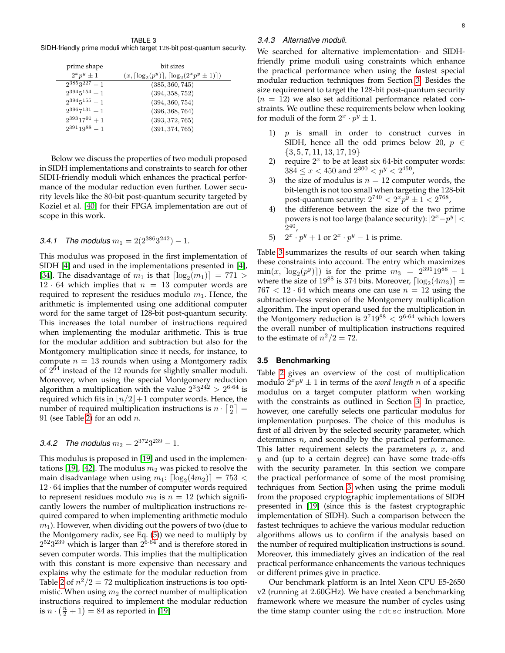<span id="page-7-1"></span>TABLE 3 SIDH-friendly prime moduli which target 128-bit post-quantum security.

| prime shape          | bit sizes                                                             |
|----------------------|-----------------------------------------------------------------------|
| $2^x 2^y \pm 1$      | $(x, \lceil \log_2(p^y) \rceil, \lceil \log_2(2^x p^y \pm 1) \rceil)$ |
| $2^{385}3^{227} - 1$ | (385, 360, 745)                                                       |
| $2^{394}5^{154}+1$   | (394, 358, 752)                                                       |
| $2^{394}5^{155} - 1$ | (394, 360, 754)                                                       |
| $2^{396}7^{131}+1$   | (396, 368, 764)                                                       |
| $2^{393}17^{91}+1$   | (393, 372, 765)                                                       |
| $2^{391}19^{88} = 1$ | (391, 374, 765)                                                       |

Below we discuss the properties of two moduli proposed in SIDH implementations and constraints to search for other SIDH-friendly moduli which enhances the practical performance of the modular reduction even further. Lower security levels like the 80-bit post-quantum security targeted by Koziel et al. [\[40\]](#page-12-35) for their FPGA implementation are out of scope in this work.

# 3.4.1 The modulus  $m_1 = 2(2^{386}3^{242}) - 1$ .

This modulus was proposed in the first implementation of SIDH [\[4\]](#page-11-6) and used in the implementations presented in [\[4\]](#page-11-6), [\[34\]](#page-12-37). The disadvantage of  $m_1$  is that  $\lceil \log_2(m_1) \rceil = 771$  > 12 · 64 which implies that  $n = 13$  computer words are required to represent the residues modulo  $m_1$ . Hence, the arithmetic is implemented using one additional computer word for the same target of 128-bit post-quantum security. This increases the total number of instructions required when implementing the modular arithmetic. This is true for the modular addition and subtraction but also for the Montgomery multiplication since it needs, for instance, to compute  $n = 13$  rounds when using a Montgomery radix of  $2^{64}$  instead of the 12 rounds for slightly smaller moduli. Moreover, when using the special Montgomery reduction algorithm a multiplication with the value  $2^3 3^{242} > 2^{6 \cdot 64}$  is required which fits in  $\lfloor n/2 \rfloor + 1$  computer words. Hence, the number of required multiplication instructions is  $n \cdot \lceil \frac{n}{2} \rceil =$ 91 (see Table [2\)](#page-6-0) for an odd  $n$ .

# 3.4.2 The modulus  $m_2 = 2^{372}3^{239} - 1$ .

This modulus is proposed in [\[19\]](#page-12-6) and used in the implemen-tations [\[19\]](#page-12-6), [\[42\]](#page-12-31). The modulus  $m_2$  was picked to resolve the main disadvantage when using  $m_1$ :  $\lceil \log_2(4m_2) \rceil = 753 <$  $12 \cdot 64$  implies that the number of computer words required to represent residues modulo  $m_2$  is  $n = 12$  (which significantly lowers the number of multiplication instructions required compared to when implementing arithmetic modulo  $m_1$ ). However, when dividing out the powers of two (due to the Montgomery radix, see Eq. [\(5\)](#page-4-0)) we need to multiply by  $2^{52}3^{239}$  which is larger than  $2^{6.64}$  and is therefore stored in seven computer words. This implies that the multiplication with this constant is more expensive than necessary and explains why the estimate for the modular reduction from Table [2](#page-6-0) of  $n^2/2 = 72$  multiplication instructions is too optimistic. When using  $m_2$  the correct number of multiplication instructions required to implement the modular reduction is  $n \cdot (\frac{n}{2} + 1) = 84$  as reported in [\[19\]](#page-12-6)

# *3.4.3 Alternative moduli.*

We searched for alternative implementation- and SIDHfriendly prime moduli using constraints which enhance the practical performance when using the fastest special modular reduction techniques from Section [3.](#page-3-0) Besides the size requirement to target the 128-bit post-quantum security  $(n = 12)$  we also set additional performance related constraints. We outline these requirements below when looking for moduli of the form  $2^x \cdot p^y \pm 1$ .

- 1)  $p$  is small in order to construct curves in SIDH, hence all the odd primes below 20,  $p \in$  $\{3, 5, 7, 11, 13, 17, 19\}$
- 2) require  $2^x$  to be at least six 64-bit computer words:  $384 \leq x < 450$  and  $2^{300} < p^{y} < 2^{450}$ ,
- 3) the size of modulus is  $n = 12$  computer words, the bit-length is not too small when targeting the 128-bit post-quantum security:  $2^{740} < 2^{x}p^{y} \pm 1 < 2^{768}$ ,
- 4) the difference between the size of the two prime powers is not too large (balance security):  $|2^x-p^y| <$  $2^{40}$ ,
- 5)  $2^x \cdot p^y + 1$  or  $2^x \cdot p^y 1$  is prime.

Table [3](#page-7-1) summarizes the results of our search when taking these constraints into account. The entry which maximizes  $\min(x, \lceil \log_2(p^y) \rceil)$  is for the prime  $m_3 = 2^{391}19^{88} - 1$ where the size of  $19^{88}$  is 374 bits. Moreover,  $\lceil \log_2(4m_3) \rceil$  =  $767 < 12 \cdot 64$  which means one can use  $n = 12$  using the subtraction-less version of the Montgomery multiplication algorithm. The input operand used for the multiplication in the Montgomery reduction is  $2^7 19^{88} < 2^{6 \cdot 64}$  which lowers the overall number of multiplication instructions required to the estimate of  $n^2/2 = 72$ .

# <span id="page-7-0"></span>**3.5 Benchmarking**

Table [2](#page-6-0) gives an overview of the cost of multiplication modulo  $2^x p^y \pm 1$  in terms of the *word length* n of a specific modulus on a target computer platform when working with the constraints as outlined in Section [3.](#page-3-0) In practice, however, one carefully selects one particular modulus for implementation purposes. The choice of this modulus is first of all driven by the selected security parameter, which determines  $n$ , and secondly by the practical performance. This latter requirement selects the parameters  $p$ ,  $x$ , and  $y$  and (up to a certain degree) can have some trade-offs with the security parameter. In this section we compare the practical performance of some of the most promising techniques from Section [3](#page-3-0) when using the prime moduli from the proposed cryptographic implementations of SIDH presented in [\[19\]](#page-12-6) (since this is the fastest cryptographic implementation of SIDH). Such a comparison between the fastest techniques to achieve the various modular reduction algorithms allows us to confirm if the analysis based on the number of required multiplication instructions is sound. Moreover, this immediately gives an indication of the real practical performance enhancements the various techniques or different primes give in practice.

Our benchmark platform is an Intel Xeon CPU E5-2650 v2 (running at 2.60GHz). We have created a benchmarking framework where we measure the number of cycles using the time stamp counter using the rdtsc instruction. More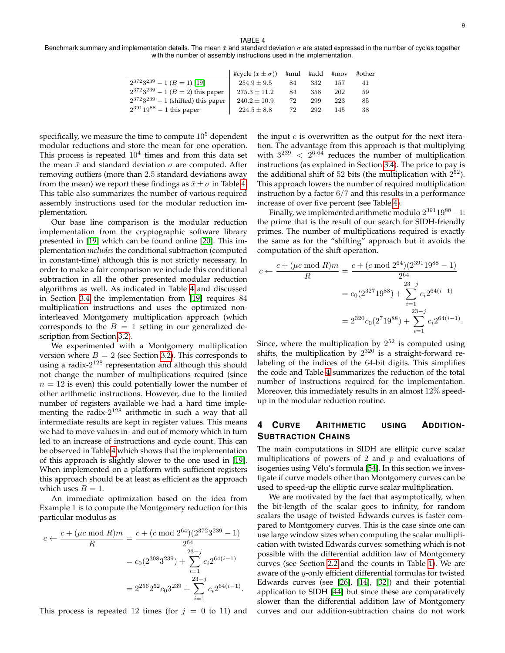TABLE 4

<span id="page-8-1"></span>Benchmark summary and implementation details. The mean  $\bar{x}$  and standard deviation  $\sigma$  are stated expressed in the number of cycles together with the number of assembly instructions used in the implementation.

|                                                 | #cycle $(\bar{x} \pm \sigma)$ | #mul | #add | # $mov$ | #other |
|-------------------------------------------------|-------------------------------|------|------|---------|--------|
| $\sqrt{2^{372}3^{239}} - 1 (B = 1)$ [19]        | $254.9 \pm 9.5$               | 84   | 332  | 157     | 41     |
| $2^{372}3^{239} - 1$ ( <i>B</i> = 2) this paper | $275.3 \pm 11.2$              | 84   | 358  | 202     | 59     |
| $2^{372}3^{239} - 1$ (shifted) this paper       | $240.2 \pm 10.9$              | 72   | 299  | 223     | 85     |
| $2^{391}19^{88} - 1$ this paper                 | $224.5 \pm 8.8$               | 72   | 292  | 145     | 38     |

specifically, we measure the time to compute  $10<sup>5</sup>$  dependent modular reductions and store the mean for one operation. This process is repeated  $10^4$  times and from this data set the mean  $\bar{x}$  and standard deviation  $\sigma$  are computed. After removing outliers (more than 2.5 standard deviations away from the mean) we report these findings as  $\bar{x} \pm \sigma$  in Table [4.](#page-8-1) This table also summarizes the number of various required assembly instructions used for the modular reduction implementation.

Our base line comparison is the modular reduction implementation from the cryptographic software library presented in [\[19\]](#page-12-6) which can be found online [\[20\]](#page-12-38). This implementation *includes* the conditional subtraction (computed in constant-time) although this is not strictly necessary. In order to make a fair comparison we include this conditional subtraction in all the other presented modular reduction algorithms as well. As indicated in Table [4](#page-8-1) and discussed in Section [3.4](#page-6-1) the implementation from [\[19\]](#page-12-6) requires 84 multiplication instructions and uses the optimized noninterleaved Montgomery multiplication approach (which corresponds to the  $B = 1$  setting in our generalized description from Section [3.2\)](#page-4-2).

We experimented with a Montgomery multiplication version where  $B = 2$  (see Section [3.2\)](#page-4-2). This corresponds to using a radix-2<sup>128</sup> representation and although this should not change the number of multiplications required (since  $n = 12$  is even) this could potentially lower the number of other arithmetic instructions. However, due to the limited number of registers available we had a hard time implementing the radix- $2^{128}$  arithmetic in such a way that all intermediate results are kept in register values. This means we had to move values in- and out of memory which in turn led to an increase of instructions and cycle count. This can be observed in Table [4](#page-8-1) which shows that the implementation of this approach is slightly slower to the one used in [\[19\]](#page-12-6). When implemented on a platform with sufficient registers this approach should be at least as efficient as the approach which uses  $B = 1$ .

An immediate optimization based on the idea from Example 1 is to compute the Montgomery reduction for this particular modulus as

$$
c \leftarrow \frac{c + (\mu c \mod R)m}{R} = \frac{c + (c \mod 2^{64})(2^{372}3^{239} - 1)}{2^{64}}
$$

$$
= c_0(2^{308}3^{239}) + \sum_{i=1}^{23-j} c_i 2^{64(i-1)}
$$

$$
= 2^{256}2^{52}c_03^{239} + \sum_{i=1}^{23-j} c_i 2^{64(i-1)}.
$$

This process is repeated 12 times (for  $j = 0$  to 11) and

the input  $c$  is overwritten as the output for the next iteration. The advantage from this approach is that multiplying with  $3^{239}$  <  $2^{6.64}$  reduces the number of multiplication instructions (as explained in Section [3.4\)](#page-6-1). The price to pay is the additional shift of 52 bits (the multiplication with  $2^{52}$ ). This approach lowers the number of required multiplication instruction by a factor  $6/7$  and this results in a performance increase of over five percent (see Table [4\)](#page-8-1).

Finally, we implemented arithmetic modulo  $2^{391}19^{88} - 1$ : the prime that is the result of our search for SIDH-friendly primes. The number of multiplications required is exactly the same as for the "shifting" approach but it avoids the computation of the shift operation.

$$
c \leftarrow \frac{c + (\mu c \mod R)m}{R} = \frac{c + (c \mod 2^{64})(2^{391}19^{88} - 1)}{2^{64}}
$$

$$
= c_0(2^{327}19^{88}) + \sum_{i=1}^{23-j} c_i 2^{64(i-1)}
$$

$$
= 2^{320} c_0(2^719^{88}) + \sum_{i=1}^{23-j} c_i 2^{64(i-1)}.
$$

Since, where the multiplication by  $2^{52}$  is computed using shifts, the multiplication by  $2^{320}$  is a straight-forward relabeling of the indices of the 64-bit digits. This simplifies the code and Table [4](#page-8-1) summarizes the reduction of the total number of instructions required for the implementation. Moreover, this immediately results in an almost 12% speedup in the modular reduction routine.

# <span id="page-8-0"></span>**4 CURVE ARITHMETIC USING ADDITION-SUBTRACTION CHAINS**

The main computations in SIDH are ellitpic curve scalar multiplications of powers of 2 and  $p$  and evaluations of isogenies using Vélu's formula [\[54\]](#page-12-39). In this section we investigate if curve models other than Montgomery curves can be used to speed-up the elliptic curve scalar multiplication.

We are motivated by the fact that asymptotically, when the bit-length of the scalar goes to infinity, for random scalars the usage of twisted Edwards curves is faster compared to Montgomery curves. This is the case since one can use large window sizes when computing the scalar multiplication with twisted Edwards curves: something which is not possible with the differential addition law of Montgomery curves (see Section [2.2](#page-2-2) and the counts in Table [1\)](#page-3-1). We are aware of the y-only efficient differential formulas for twisted Edwards curves (see [\[26\]](#page-12-40), [\[14\]](#page-12-41), [\[32\]](#page-12-42)) and their potential application to SIDH [\[44\]](#page-12-43) but since these are comparatively slower than the differential addition law of Montgomery curves and our addition-subtraction chains do not work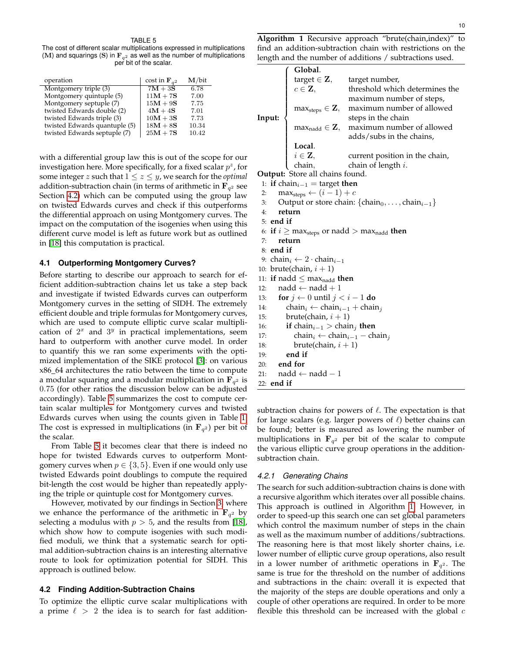#### TABLE 5

<span id="page-9-1"></span>The cost of different scalar multiplications expressed in multiplications (M) and squarings (S) in  $\mathbf{F}_{q^2}$  as well as the number of multiplications per bit of the scalar.

| operation                     | cost in $\mathbf{F}_{a^2}$ | $M/b$ it |
|-------------------------------|----------------------------|----------|
| Montgomery triple (3)         | $7M + 3S$                  | 6.78     |
| Montgomery quintuple (5)      | $11M + 7S$                 | 7.00     |
| Montgomery septuple (7)       | $15M + 9S$                 | 7.75     |
| twisted Edwards double (2)    | $4M + 4S$                  | 7.01     |
| twisted Edwards triple (3)    | $10M + 3S$                 | 7.73     |
| twisted Edwards quantuple (5) | $18M + 8S$                 | 10.34    |
| twisted Edwards septuple (7)  | $25M + 7S$                 | 10.42    |

with a differential group law this is out of the scope for our investigation here. More specifically, for a fixed scalar  $p^z$ , for some integer *z* such that  $1 \le z \le y$ , we search for the *optimal* addition-subtraction chain (in terms of arithmetic in  $\mathbf{F}_{q^2}$  see Section [4.2\)](#page-9-0) which can be computed using the group law on twisted Edwards curves and check if this outperforms the differential approach on using Montgomery curves. The impact on the computation of the isogenies when using this different curve model is left as future work but as outlined in [\[18\]](#page-12-9) this computation is practical.

### **4.1 Outperforming Montgomery Curves?**

Before starting to describe our approach to search for efficient addition-subtraction chains let us take a step back and investigate if twisted Edwards curves can outperform Montgomery curves in the setting of SIDH. The extremely efficient double and triple formulas for Montgomery curves, which are used to compute elliptic curve scalar multiplication of  $2^x$  and  $3^y$  in practical implementations, seem hard to outperform with another curve model. In order to quantify this we ran some experiments with the optimized implementation of the SIKE protocol [\[3\]](#page-11-1): on various x86 64 architectures the ratio between the time to compute a modular squaring and a modular multiplication in  $\mathbf{F}_{q^2}$  is 0.75 (for other ratios the discussion below can be adjusted accordingly). Table [5](#page-9-1) summarizes the cost to compute certain scalar multiples for Montgomery curves and twisted Edwards curves when using the counts given in Table [1.](#page-3-1) The cost is expressed in multiplications (in  $\mathbf{F}_{q^2}$ ) per bit of the scalar.

From Table [5](#page-9-1) it becomes clear that there is indeed no hope for twisted Edwards curves to outperform Montgomery curves when  $p \in \{3, 5\}$ . Even if one would only use twisted Edwards point doublings to compute the required bit-length the cost would be higher than repeatedly applying the triple or quintuple cost for Montgomery curves.

However, motivated by our findings in Section [3,](#page-3-0) where we enhance the performance of the arithmetic in  $\mathbf{F}_{q^2}$  by selecting a modulus with  $p > 5$ , and the results from [\[18\]](#page-12-9), which show how to compute isogenies with such modified moduli, we think that a systematic search for optimal addition-subtraction chains is an interesting alternative route to look for optimization potential for SIDH. This approach is outlined below.

## <span id="page-9-0"></span>**4.2 Finding Addition-Subtraction Chains**

To optimize the elliptic curve scalar multiplications with a prime  $\ell > 2$  the idea is to search for fast addition<span id="page-9-2"></span>**Algorithm 1** Recursive approach "brute(chain,index)" to find an addition-subtraction chain with restrictions on the length and the number of additions / subtractions used.

|        |                                                  | $\begin{aligned} &\textbf{Global.} \\ &\text{target} \in \mathbf{Z}, \qquad \text{target number}, \end{aligned}$                                                                   |
|--------|--------------------------------------------------|------------------------------------------------------------------------------------------------------------------------------------------------------------------------------------|
|        | $c \in \mathbf{Z},$                              | threshold which determines the                                                                                                                                                     |
|        |                                                  | maximum number of steps,                                                                                                                                                           |
|        |                                                  | max <sub>steps</sub> $\in$ <b>Z</b> , maximum number of allowed<br>steps in the chain<br>max <sub>nadd</sub> $\in$ <b>Z</b> , maximum number of allowed<br>adds/subs in the chains |
| Input: |                                                  |                                                                                                                                                                                    |
|        |                                                  |                                                                                                                                                                                    |
|        |                                                  | adds/subs in the chains,                                                                                                                                                           |
|        |                                                  |                                                                                                                                                                                    |
|        |                                                  | $\begin{array}{ll} \textbf{Local.} \\ i \in \mathbf{Z}, & \text{current position i} \\ \text{chain,} & \text{chain of length } i. \end{array}$<br>current position in the chain,   |
|        |                                                  |                                                                                                                                                                                    |
|        | Output: Store all chains found.                  |                                                                                                                                                                                    |
|        | 1: if chain <sub>i-1</sub> = target then         |                                                                                                                                                                                    |
| 2:     | $\text{max}_{\text{steps}} \leftarrow (i-1) + c$ |                                                                                                                                                                                    |
| 3:     |                                                  | Output or store chain: $\{chain_0, \ldots, chain_{i-1}\}$                                                                                                                          |
| 4:     | return                                           |                                                                                                                                                                                    |
|        | $\cdots$                                         |                                                                                                                                                                                    |

- 5: **end if**
- 6: **if**  $i \geq \max_{\text{steps}}$  or nadd  $> \max_{\text{nadd}}$  **then**
- 7: **return**
- 8: **end if**
- 9: chain<sub>i</sub> ← 2 · chain<sub>i-1</sub>
- 10: brute(chain,  $i + 1$ )
- 11: **if** nadd  $\leq$  max $_{\text{nadd}}$  **then**
- 12:  $\qquad \qquad \text{nadd} \leftarrow \text{nadd} + 1$
- 13: **for**  $j \leftarrow 0$  until  $j < i 1$  **do**
- 14: chain<sub>i</sub> ← chain<sub>i-1</sub> + chain<sub>j</sub>
- 15: brute(chain,  $i + 1$ )
- 16: **if** chain<sub>*i* $-1$ </sub> > chain<sub>*i*</sub> then
- 17: chain<sub>i</sub> ← chain<sub>i</sub> chain<sub>j</sub>
- 18: brute(chain,  $i + 1$ )
- 19: **end if**
- 20: **end for**
- 21:  $nadd \leftarrow nad 1$ 22: **end if**

subtraction chains for powers of  $\ell$ . The expectation is that for large scalars (e.g. larger powers of  $\ell$ ) better chains can be found; better is measured as lowering the number of multiplications in  $\mathbf{F}_{q^2}$  per bit of the scalar to compute the various elliptic curve group operations in the additionsubtraction chain.

#### *4.2.1 Generating Chains*

The search for such addition-subtraction chains is done with a recursive algorithm which iterates over all possible chains. This approach is outlined in Algorithm [1.](#page-9-2) However, in order to speed-up this search one can set global parameters which control the maximum number of steps in the chain as well as the maximum number of additions/subtractions. The reasoning here is that most likely shorter chains, i.e. lower number of elliptic curve group operations, also result in a lower number of arithmetic operations in  $\mathbf{F}_{q^2}$ . The same is true for the threshold on the number of additions and subtractions in the chain: overall it is expected that the majority of the steps are double operations and only a couple of other operations are required. In order to be more flexible this threshold can be increased with the global  $c$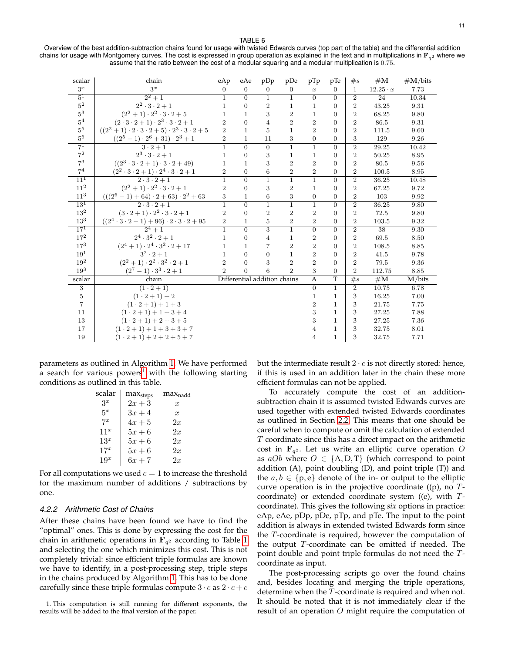11

#### TABLE 6

<span id="page-10-2"></span>Overview of the best addition-subtraction chains found for usage with twisted Edwards curves (top part of the table) and the differential addition chains for usage with Montgomery curves. The cost is expressed in group operation as explained in the text and in multiplications in  ${\bf F}_{q^2}$  where we assume that the ratio between the cost of a modular squaring and a modular multiplication is 0.75.

| scalar            | chain                                                           | eAp            | eAe            | pDp                          | pDe            | pTp              | pTe              | $\#s$          | $\#\mathbf{M}$  | #M/bits   |
|-------------------|-----------------------------------------------------------------|----------------|----------------|------------------------------|----------------|------------------|------------------|----------------|-----------------|-----------|
| $3^x$             | $3^x$                                                           | $\theta$       | $\overline{0}$ | $\overline{0}$               | $\overline{0}$ | $\boldsymbol{x}$ | $\overline{0}$   | $\mathbf{1}$   | $12.25 \cdot x$ | 7.73      |
| $5^1$             | $\sqrt{2^2+1}$                                                  | $\mathbf{1}$   | $\Omega$       | $\mathbf{1}$                 | $\overline{1}$ | $\overline{0}$   | $\Omega$         | $\overline{2}$ | 24              | 10.34     |
| $5^2\,$           | $2^2\cdot 3\cdot 2+1$                                           | $\mathbf{1}$   | $\overline{0}$ | $\overline{2}$               | $\mathbf{1}$   | $\mathbf{1}$     | $\overline{0}$   | $\overline{2}$ | 43.25           | 9.31      |
| $\rm 5^3$         | $(2^2+1)\cdot 2^2\cdot 3\cdot 2+5$                              | $\mathbf{1}$   | $\mathbf{1}$   | 3                            | $\overline{2}$ | $\mathbf 1$      | $\overline{0}$   | $\overline{2}$ | 68.25           | 9.80      |
| $5^4\,$           | $(2\cdot3\cdot2+1)\cdot2^3\cdot3\cdot2+1$                       | $\overline{2}$ | $\overline{0}$ | $\overline{4}$               | $\overline{2}$ | $\overline{2}$   | $\overline{0}$   | $\overline{2}$ | 86.5            | 9.31      |
| 5 <sup>5</sup>    | $((2^2+1)\cdot 2\cdot 3\cdot 2+5)\cdot 2^3\cdot 3\cdot 2+5$     | $\overline{2}$ | $\mathbf{1}$   | 5                            | $\mathbf{1}$   | $\overline{2}$   | $\overline{0}$   | $\overline{2}$ | 111.5           | 9.60      |
| $5^6\,$           | $((2^5 - 1) \cdot 2^6 + 31) \cdot 2^3 + 1$                      | $\overline{2}$ | $\mathbf 1$    | 11                           | 3              | $\mathbf{0}$     | $\boldsymbol{0}$ | 3              | 129             | 9.26      |
| $\overline{7^1}$  | $3 \cdot 2 + 1$                                                 | $\overline{1}$ | $\overline{0}$ | $\overline{0}$               | $\overline{1}$ | $\mathbf{1}$     | $\overline{0}$   | $\overline{2}$ | 29.25           | 10.42     |
| $\mathbf{7}^2$    | $2^3 \cdot 3 \cdot 2 + 1$                                       | $\mathbf{1}$   | $\overline{0}$ | 3                            | $\mathbf{1}$   | $\mathbf 1$      | $\overline{0}$   | $\overline{2}$ | 50.25           | 8.95      |
| $7^3$             | $((2^3 \cdot 3 \cdot 2 + 1) \cdot 3 \cdot 2 + 49)$              | $\mathbf{1}$   | $\mathbf{1}$   | 3                            | $\overline{2}$ | $\overline{2}$   | $\boldsymbol{0}$ | $\overline{2}$ | 80.5            | 9.56      |
| $\mathbf{7}^4$    | $(2^2 \cdot 3 \cdot 2 + 1) \cdot 2^4 \cdot 3 \cdot 2 + 1$       | $\overline{2}$ | $\overline{0}$ | 6                            | $\overline{2}$ | $\overline{2}$   | $\boldsymbol{0}$ | $\overline{2}$ | 100.5           | 8.95      |
| $\overline{11}^1$ | $\overline{2\cdot 3\cdot 2+1}$                                  | $\overline{1}$ | $\overline{0}$ | $\overline{1}$               | $\mathbf{1}$   | $\mathbf{1}$     | $\overline{0}$   | $\overline{2}$ | 36.25           | 10.48     |
| 11 <sup>2</sup>   | $(2^2+1)\cdot 2^2\cdot 3\cdot 2+1$                              | $\,2$          | $\overline{0}$ | 3                            | $\overline{2}$ | $\mathbf{1}$     | $\overline{0}$   | $\overline{2}$ | 67.25           | 9.72      |
| $11^3\,$          | $(((2^6 - 1) + 64) \cdot 2 + 63) \cdot 2^2 + 63$                | 3              | $\mathbf 1$    | $\overline{6}$               | 3              | $\boldsymbol{0}$ | $\boldsymbol{0}$ | $\overline{2}$ | 103             | 9.92      |
| 13 <sup>1</sup>   | $\overline{2\cdot 3\cdot 2+1}$                                  | $\overline{1}$ | $\overline{0}$ | $\overline{1}$               | $\overline{1}$ | $\mathbf{1}$     | $\overline{0}$   | $\overline{2}$ | 36.25           | 9.80      |
| $13^2\,$          | $(3 \cdot 2 + 1) \cdot 2^2 \cdot 3 \cdot 2 + 1$                 | $\,2$          | $\overline{0}$ | $\overline{2}$               | $\overline{2}$ | $\overline{2}$   | $\boldsymbol{0}$ | $\overline{2}$ | 72.5            | 9.80      |
| $13^3$            | $((2^4 \cdot 3 \cdot 2 - 1) + 96) \cdot 2 \cdot 3 \cdot 2 + 95$ | $\,2$          | $\mathbf 1$    | 5                            | $\overline{2}$ | $\overline{2}$   | $\overline{0}$   | $\overline{2}$ | 103.5           | 9.32      |
| $17^{1}$          | $2^4 + 1$                                                       | $\mathbf{1}$   | $\overline{0}$ | $\overline{3}$               | $\mathbf{1}$   | $\overline{0}$   | $\overline{0}$   | $\overline{2}$ | $\overline{38}$ | 9.30      |
| $17^2\,$          | $2^4 \cdot 3^2 \cdot 2 + 1$                                     | $\mathbf{1}$   | $\overline{0}$ | $\overline{4}$               | 1              | $\overline{2}$   | $\boldsymbol{0}$ | $\overline{2}$ | 69.5            | 8.50      |
| $17^3\,$          | $(2^4+1)\cdot 2^4\cdot 3^2\cdot 2+17$                           | $\mathbf{1}$   | $\mathbf 1$    | $\overline{7}$               | $\overline{2}$ | $\overline{2}$   | $\boldsymbol{0}$ | $\overline{2}$ | 108.5           | 8.85      |
| $19^{1}$          | $3^2 \cdot 2 + 1$                                               | $\mathbf{1}$   | $\overline{0}$ | $\overline{0}$               | $\mathbf{1}$   | $\overline{2}$   | $\overline{0}$   | $\overline{2}$ | 41.5            | 9.78      |
| $19^{2}$          | $(2^2+1)\cdot 2^2\cdot 3^2\cdot 2+1$                            | $\overline{2}$ | $\overline{0}$ | 3                            | $\overline{2}$ | $\overline{2}$   | $\overline{0}$   | $\overline{2}$ | 79.5            | 9.36      |
| $19^{3}$          | $(2^7-1)\cdot3^3\cdot2+1$                                       | $\overline{2}$ | $\theta$       | 6                            | $\overline{2}$ | 3                | $\overline{0}$   | $\overline{2}$ | 112.75          | 8.85      |
| scalar            | chain                                                           |                |                | Differential addition chains |                | $\overline{A}$   | $\overline{T}$   | $\overline{f}$ | #M              | $M/b$ its |
| 3                 | $(1 \cdot 2 + 1)$                                               |                |                |                              |                | $\overline{0}$   | $\overline{1}$   | $\overline{2}$ | 10.75           | 6.78      |
| 5                 | $(1 \cdot 2 + 1) + 2$                                           |                |                |                              |                | $\mathbf{1}$     | $\mathbf{1}$     | 3              | 16.25           | 7.00      |
| $\overline{7}$    | $(1 \cdot 2 + 1) + 1 + 3$                                       |                |                |                              |                | $\overline{2}$   | $\mathbf{1}$     | 3              | 21.75           | 7.75      |
| 11                | $(1 \cdot 2 + 1) + 1 + 3 + 4$                                   |                |                |                              |                | 3                | $\mathbf{1}$     | 3              | 27.25           | 7.88      |
| 13                | $(1 \cdot 2 + 1) + 2 + 3 + 5$                                   |                |                |                              |                | 3                | $\mathbf{1}$     | 3              | 27.25           | 7.36      |
| 17                | $(1 \cdot 2 + 1) + 1 + 3 + 3 + 7$                               |                |                |                              |                | $\overline{4}$   | $\mathbf{1}$     | 3              | 32.75           | 8.01      |
| 19                | $(1 \cdot 2 + 1) + 2 + 2 + 5 + 7$                               |                |                |                              |                | $\overline{4}$   | $\,1$            | 3              | 32.75           | 7.71      |

parameters as outlined in Algorithm [1.](#page-9-2) We have performed a search for various powers<sup>[1](#page-10-1)</sup> with the following starting conditions as outlined in this table.

| scalar | $max_{steps}$ | $max_{\text{nadd}}$ |
|--------|---------------|---------------------|
| $3^x$  | $2x+3$        | $\boldsymbol{x}$    |
| $5^x$  | $3x+4$        | $\mathcal{X}$       |
| $7^x$  | $4x+5$        | 2x                  |
| $11^x$ | $5x+6$        | 2x                  |
| $13^x$ | $5x+6$        | 2x                  |
| $17^x$ | $5x+6$        | 2x                  |
| $19^x$ | $6x+7$        | 2x                  |

For all computations we used  $c = 1$  to increase the threshold for the maximum number of additions / subtractions by one.

## <span id="page-10-0"></span>*4.2.2 Arithmetic Cost of Chains*

After these chains have been found we have to find the "optimal" ones. This is done by expressing the cost for the chain in arithmetic operations in  $\mathbf{F}_{q^2}$  according to Table [1](#page-3-1) and selecting the one which minimizes this cost. This is not completely trivial: since efficient triple formulas are known we have to identify, in a post-processing step, triple steps in the chains produced by Algorithm [1.](#page-9-2) This has to be done carefully since these triple formulas compute  $3 \cdot c$  as  $2 \cdot c + c$ 

<span id="page-10-1"></span>1. This computation is still running for different exponents, the results will be added to the final version of the paper.

but the intermediate result  $2 \cdot c$  is not directly stored: hence, if this is used in an addition later in the chain these more efficient formulas can not be applied.

To accurately compute the cost of an additionsubtraction chain it is assumed twisted Edwards curves are used together with extended twisted Edwards coordinates as outlined in Section [2.2.](#page-2-2) This means that one should be careful when to compute or omit the calculation of extended  $T$  coordinate since this has a direct impact on the arithmetic cost in  $\mathbf{F}_{q^2}$ . Let us write an elliptic curve operation O as  $aOb$  where  $O \in \{A, D, T\}$  (which correspond to point addition (A), point doubling (D), and point triple (T)) and the  $a, b \in \{p, e\}$  denote of the in- or output to the elliptic curve operation is in the projective coordinate ((p), no  $T$ coordinate) or extended coordinate system ((e), with  $T$ coordinate). This gives the following *six* options in practice: eAp, eAe, pDp, pDe, pTp, and pTe. The input to the point addition is always in extended twisted Edwards form since the T-coordinate is required, however the computation of the output  $T$ -coordinate can be omitted if needed. The point double and point triple formulas do not need the Tcoordinate as input.

The post-processing scripts go over the found chains and, besides locating and merging the triple operations, determine when the  $T$ -coordinate is required and when not. It should be noted that it is not immediately clear if the result of an operation O might require the computation of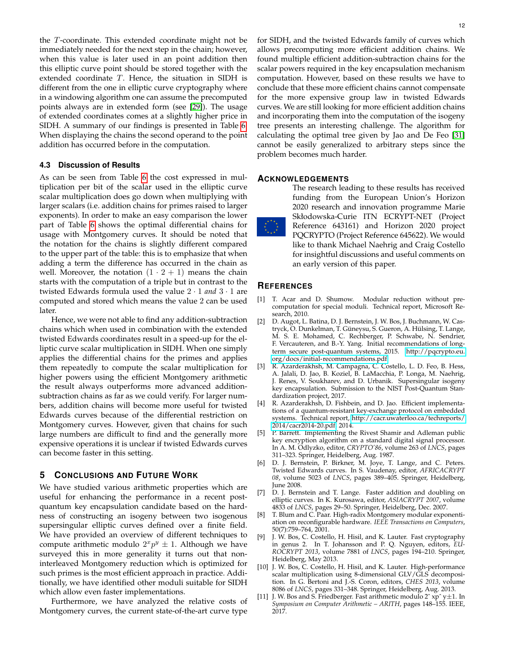the T-coordinate. This extended coordinate might not be immediately needed for the next step in the chain; however, when this value is later used in an point addition then this elliptic curve point should be stored together with the extended coordinate T. Hence, the situation in SIDH is different from the one in elliptic curve cryptography where in a windowing algorithm one can assume the precomputed points always are in extended form (see [\[29\]](#page-12-11)). The usage of extended coordinates comes at a slightly higher price in SIDH. A summary of our findings is presented in Table [6.](#page-10-2) When displaying the chains the second operand to the point addition has occurred before in the computation.

# **4.3 Discussion of Results**

As can be seen from Table [6](#page-10-2) the cost expressed in multiplication per bit of the scalar used in the elliptic curve scalar multiplication does go down when multiplying with larger scalars (i.e. addition chains for primes raised to larger exponents). In order to make an easy comparison the lower part of Table [6](#page-10-2) shows the optimal differential chains for usage with Montgomery curves. It should be noted that the notation for the chains is slightly different compared to the upper part of the table: this is to emphasize that when adding a term the difference has occurred in the chain as well. Moreover, the notation  $(1 \cdot 2 + 1)$  means the chain starts with the computation of a triple but in contrast to the twisted Edwards formula used the value 2 · 1 *and* 3 · 1 are computed and stored which means the value 2 can be used later.

Hence, we were not able to find any addition-subtraction chains which when used in combination with the extended twisted Edwards coordinates result in a speed-up for the elliptic curve scalar multiplication in SIDH. When one simply applies the differential chains for the primes and applies them repeatedly to compute the scalar multiplication for higher powers using the efficient Montgomery arithmetic the result always outperforms more advanced additionsubtraction chains as far as we could verify. For larger numbers, addition chains will become more useful for twisted Edwards curves because of the differential restriction on Montgomery curves. However, given that chains for such large numbers are difficult to find and the generally more expensive operations it is unclear if twisted Edwards curves can become faster in this setting.

# **5 CONCLUSIONS AND FUTURE WORK**

We have studied various arithmetic properties which are useful for enhancing the performance in a recent postquantum key encapsulation candidate based on the hardness of constructing an isogeny between two isogenous supersingular elliptic curves defined over a finite field. We have provided an overview of different techniques to compute arithmetic modulo  $2^x p^y \pm 1$ . Although we have surveyed this in more generality it turns out that noninterleaved Montgomery reduction which is optimized for such primes is the most efficient approach in practice. Additionally, we have identified other moduli suitable for SIDH which allow even faster implementations.

Furthermore, we have analyzed the relative costs of Montgomery curves, the current state-of-the-art curve type

for SIDH, and the twisted Edwards family of curves which allows precomputing more efficient addition chains. We found multiple efficient addition-subtraction chains for the scalar powers required in the key encapsulation mechanism computation. However, based on these results we have to conclude that these more efficient chains cannot compensate for the more expensive group law in twisted Edwards curves. We are still looking for more efficient addition chains and incorporating them into the computation of the isogeny tree presents an interesting challenge. The algorithm for calculating the optimal tree given by Jao and De Feo [\[31\]](#page-12-5) cannot be easily generalized to arbitrary steps since the problem becomes much harder.

## **ACKNOWLEDGEMENTS**

The research leading to these results has received funding from the European Union's Horizon 2020 research and innovation programme Marie Skłodowska-Curie ITN ECRYPT-NET (Project Reference 643161) and Horizon 2020 project PQCRYPTO (Project Reference 645622). We would like to thank Michael Naehrig and Craig Costello for insightful discussions and useful comments on an early version of this paper.

# **REFERENCES**

- <span id="page-11-7"></span>[1] T. Acar and D. Shumow. Modular reduction without precomputation for special moduli. Technical report, Microsoft Research, 2010.
- <span id="page-11-0"></span>[2] D. Augot, L. Batina, D. J. Bernstein, J. W. Bos, J. Buchmann, W. Castryck, O. Dunkelman, T. Güneysu, S. Gueron, A. Hülsing, T. Lange, M. S. E. Mohamed, C. Rechberger, P. Schwabe, N. Sendrier, F. Vercauteren, and B.-Y. Yang. Initial recommendations of longterm secure post-quantum systems, 2015. [http://pqcrypto.eu.](http://pqcrypto.eu.org/docs/initial-recommendations.pdf) [org/docs/initial-recommendations.pdf.](http://pqcrypto.eu.org/docs/initial-recommendations.pdf)
- <span id="page-11-1"></span>[3] R. Azarderakhsh, M. Campagna, C. Costello, L. D. Feo, B. Hess, A. Jalali, D. Jao, B. Koziel, B. LaMacchia, P. Longa, M. Naehrig, J. Renes, V. Soukharev, and D. Urbanik. Supersingular isogeny key encapsulation. Submission to the NIST Post-Quantum Standardization project, 2017.
- <span id="page-11-6"></span>[4] R. Azarderakhsh, D. Fishbein, and D. Jao. Efficient implementations of a quantum-resistant key-exchange protocol on embedded systems. Technical report, [http://cacr.uwaterloo.ca/techreports/](http://cacr.uwaterloo.ca/techreports/2014/cacr2014-20.pdf) [2014/cacr2014-20.pdf,](http://cacr.uwaterloo.ca/techreports/2014/cacr2014-20.pdf) 2014.
- <span id="page-11-5"></span>[5] P. Barrett. Implementing the Rivest Shamir and Adleman public key encryption algorithm on a standard digital signal processor. In A. M. Odlyzko, editor, *CRYPTO'86*, volume 263 of *LNCS*, pages 311–323. Springer, Heidelberg, Aug. 1987.
- <span id="page-11-3"></span>[6] D. J. Bernstein, P. Birkner, M. Joye, T. Lange, and C. Peters. Twisted Edwards curves. In S. Vaudenay, editor, *AFRICACRYPT 08*, volume 5023 of *LNCS*, pages 389–405. Springer, Heidelberg, June 2008.
- <span id="page-11-2"></span>[7] D. J. Bernstein and T. Lange. Faster addition and doubling on elliptic curves. In K. Kurosawa, editor, *ASIACRYPT 2007*, volume 4833 of *LNCS*, pages 29–50. Springer, Heidelberg, Dec. 2007.
- <span id="page-11-10"></span>[8] T. Blum and C. Paar. High-radix Montgomery modular exponentiation on reconfigurable hardware. *IEEE Transactions on Computers*, 50(7):759–764, 2001.
- <span id="page-11-8"></span>[9] J. W. Bos, C. Costello, H. Hisil, and K. Lauter. Fast cryptography in genus 2. In T. Johansson and P. Q. Nguyen, editors, *EU-ROCRYPT 2013*, volume 7881 of *LNCS*, pages 194–210. Springer, Heidelberg, May 2013.
- <span id="page-11-9"></span>[10] J. W. Bos, C. Costello, H. Hisil, and K. Lauter. High-performance scalar multiplication using 8-dimensional GLV/GLS decomposition. In G. Bertoni and J.-S. Coron, editors, *CHES 2013*, volume 8086 of *LNCS*, pages 331–348. Springer, Heidelberg, Aug. 2013.
- <span id="page-11-4"></span>[11] J. W. Bos and S. Friedberger. Fast arithmetic modulo  $2^x$  xp<sup> $\gamma$ </sup> y $\pm 1$ . In *Symposium on Computer Arithmetic – ARITH*, pages 148–155. IEEE, 2017.